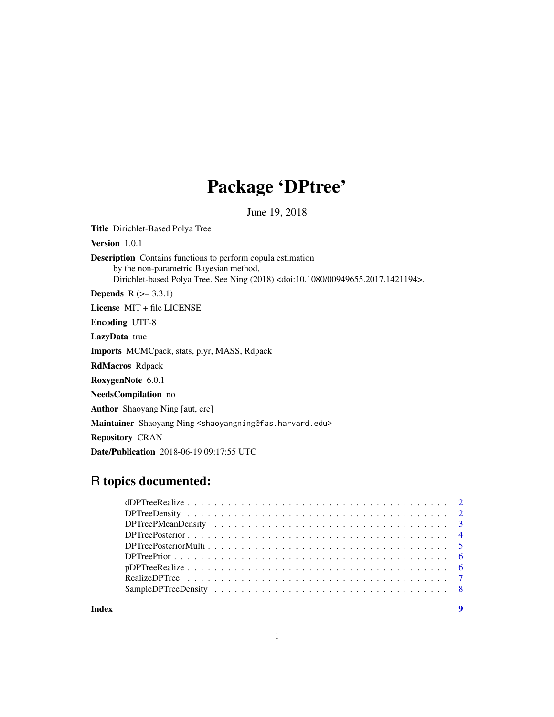# Package 'DPtree'

June 19, 2018

Title Dirichlet-Based Polya Tree

Version 1.0.1

Description Contains functions to perform copula estimation by the non-parametric Bayesian method, Dirichlet-based Polya Tree. See Ning (2018) <doi:10.1080/00949655.2017.1421194>.

**Depends**  $R$  ( $>= 3.3.1$ )

License MIT + file LICENSE

Encoding UTF-8

LazyData true

Imports MCMCpack, stats, plyr, MASS, Rdpack

RdMacros Rdpack

RoxygenNote 6.0.1

NeedsCompilation no

Author Shaoyang Ning [aut, cre]

Maintainer Shaoyang Ning <shaoyangning@fas.harvard.edu>

Repository CRAN

Date/Publication 2018-06-19 09:17:55 UTC

# R topics documented:

**Index** [9](#page-8-0)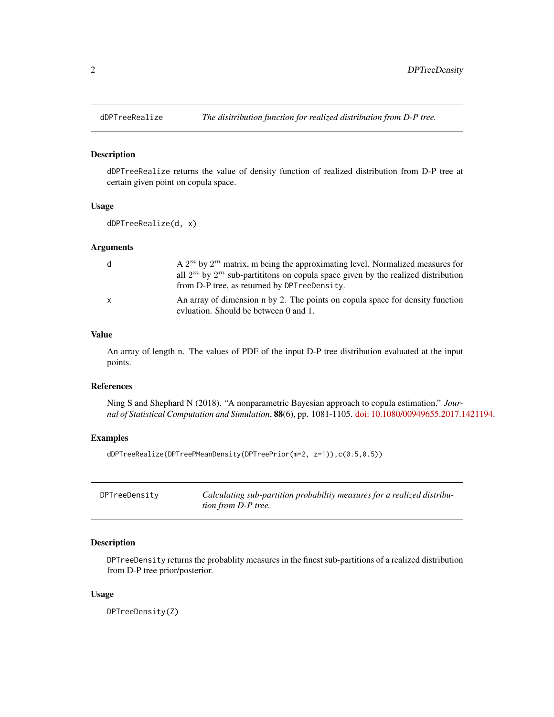<span id="page-1-0"></span>

#### Description

dDPTreeRealize returns the value of density function of realized distribution from D-P tree at certain given point on copula space.

#### Usage

```
dDPTreeRealize(d, x)
```
#### Arguments

| d            | A $2^m$ by $2^m$ matrix, m being the approximating level. Normalized measures for<br>all $2^m$ by $2^m$ sub-partititions on copula space given by the realized distribution<br>from D-P tree, as returned by DPT reeDensity. |
|--------------|------------------------------------------------------------------------------------------------------------------------------------------------------------------------------------------------------------------------------|
| $\mathbf{x}$ | An array of dimension n by 2. The points on copula space for density function<br>evluation. Should be between 0 and 1.                                                                                                       |

# Value

An array of length n. The values of PDF of the input D-P tree distribution evaluated at the input points.

# References

Ning S and Shephard N (2018). "A nonparametric Bayesian approach to copula estimation." *Journal of Statistical Computation and Simulation*, 88(6), pp. 1081-1105. [doi: 10.1080/00949655.2017.1421194.](http://doi.org/10.1080/00949655.2017.1421194)

# Examples

dDPTreeRealize(DPTreePMeanDensity(DPTreePrior(m=2, z=1)),c(0.5,0.5))

| DPTreeDensity | Calculating sub-partition probability measures for a realized distribu- |
|---------------|-------------------------------------------------------------------------|
|               | <i>tion from D-P tree.</i>                                              |

# Description

DPTreeDensity returns the probablity measures in the finest sub-partitions of a realized distribution from D-P tree prior/posterior.

#### Usage

DPTreeDensity(Z)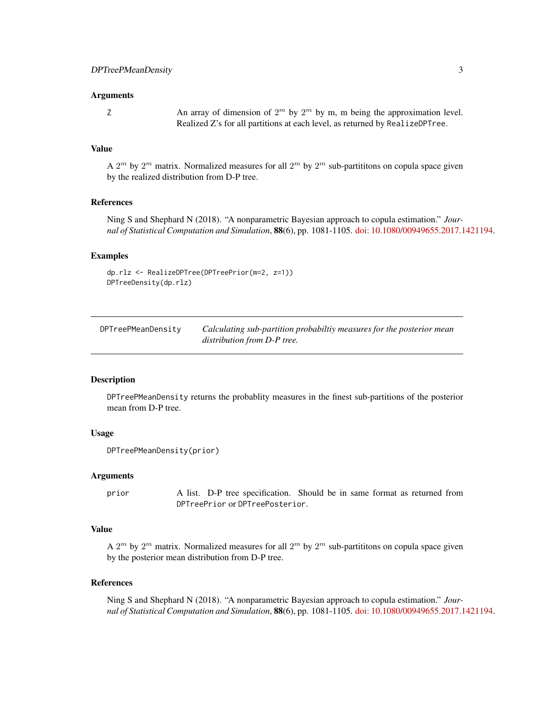#### <span id="page-2-0"></span>Arguments

Z An array of dimension of  $2^m$  by  $2^m$  by m, m being the approximation level. Realized Z's for all partitions at each level, as returned by RealizeDPTree.

# Value

A  $2^m$  by  $2^m$  matrix. Normalized measures for all  $2^m$  by  $2^m$  sub-partititons on copula space given by the realized distribution from D-P tree.

#### References

Ning S and Shephard N (2018). "A nonparametric Bayesian approach to copula estimation." *Journal of Statistical Computation and Simulation*, 88(6), pp. 1081-1105. [doi: 10.1080/00949655.2017.1421194.](http://doi.org/10.1080/00949655.2017.1421194)

#### Examples

```
dp.rlz <- RealizeDPTree(DPTreePrior(m=2, z=1))
DPTreeDensity(dp.rlz)
```

| DPTreePMeanDensity | Calculating sub-partition probabiltiy measures for the posterior mean |
|--------------------|-----------------------------------------------------------------------|
|                    | distribution from D-P tree.                                           |

#### **Description**

DPTreePMeanDensity returns the probablity measures in the finest sub-partitions of the posterior mean from D-P tree.

#### Usage

```
DPTreePMeanDensity(prior)
```
# Arguments

prior A list. D-P tree specification. Should be in same format as returned from DPTreePrior or DPTreePosterior.

#### Value

A  $2^m$  by  $2^m$  matrix. Normalized measures for all  $2^m$  by  $2^m$  sub-partititons on copula space given by the posterior mean distribution from D-P tree.

#### References

Ning S and Shephard N (2018). "A nonparametric Bayesian approach to copula estimation." *Journal of Statistical Computation and Simulation*, 88(6), pp. 1081-1105. [doi: 10.1080/00949655.2017.1421194.](http://doi.org/10.1080/00949655.2017.1421194)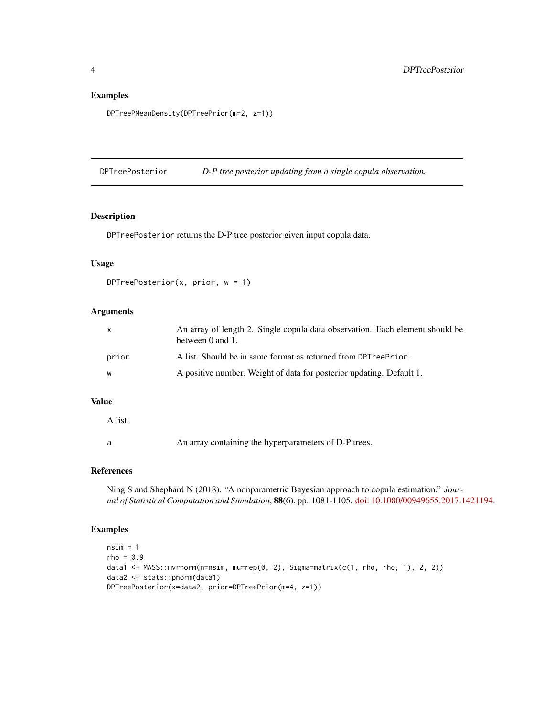# Examples

```
DPTreePMeanDensity(DPTreePrior(m=2, z=1))
```
DPTreePosterior *D-P tree posterior updating from a single copula observation.*

#### Description

DPTreePosterior returns the D-P tree posterior given input copula data.

# Usage

```
DPTreePosterior(x, prior, w = 1)
```
# Arguments

| X     | An array of length 2. Single copula data observation. Each element should be<br>between 0 and 1. |
|-------|--------------------------------------------------------------------------------------------------|
| prior | A list. Should be in same format as returned from DPTreePrior.                                   |
| W     | A positive number. Weight of data for posterior updating. Default 1.                             |

#### Value

A list.

a An array containing the hyperparameters of D-P trees.

#### References

Ning S and Shephard N (2018). "A nonparametric Bayesian approach to copula estimation." *Journal of Statistical Computation and Simulation*, 88(6), pp. 1081-1105. [doi: 10.1080/00949655.2017.1421194.](http://doi.org/10.1080/00949655.2017.1421194)

## Examples

```
nsim = 1rho = 0.9data1 <- MASS::mvrnorm(n=nsim, mu=rep(0, 2), Sigma=matrix(c(1, rho, rho, 1), 2, 2))
data2 <- stats::pnorm(data1)
DPTreePosterior(x=data2, prior=DPTreePrior(m=4, z=1))
```
<span id="page-3-0"></span>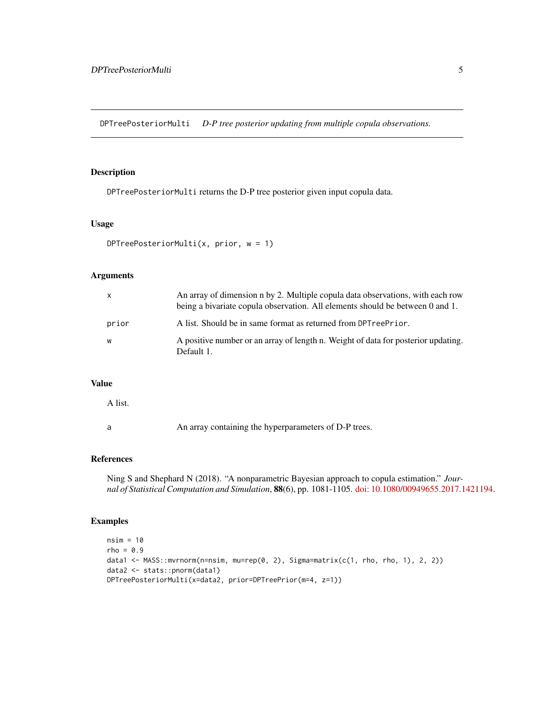<span id="page-4-0"></span>DPTreePosteriorMulti *D-P tree posterior updating from multiple copula observations.*

# Description

DPTreePosteriorMulti returns the D-P tree posterior given input copula data.

# Usage

```
DPTreePosteriorMulti(x, prior, w = 1)
```
# Arguments

| X     | An array of dimension n by 2. Multiple copula data observations, with each row<br>being a bivariate copula observation. All elements should be between 0 and 1. |
|-------|-----------------------------------------------------------------------------------------------------------------------------------------------------------------|
| prior | A list. Should be in same format as returned from DPT reeprior.                                                                                                 |
| W     | A positive number or an array of length n. Weight of data for posterior updating.<br>Default 1.                                                                 |

# Value

A list.

a An array containing the hyperparameters of D-P trees.

# References

Ning S and Shephard N (2018). "A nonparametric Bayesian approach to copula estimation." *Journal of Statistical Computation and Simulation*, 88(6), pp. 1081-1105. [doi: 10.1080/00949655.2017.1421194.](http://doi.org/10.1080/00949655.2017.1421194)

#### Examples

```
nsim = 10
rho = 0.9data1 <- MASS::mvrnorm(n=nsim, mu=rep(0, 2), Sigma=matrix(c(1, rho, rho, 1), 2, 2))
data2 <- stats::pnorm(data1)
DPTreePosteriorMulti(x=data2, prior=DPTreePrior(m=4, z=1))
```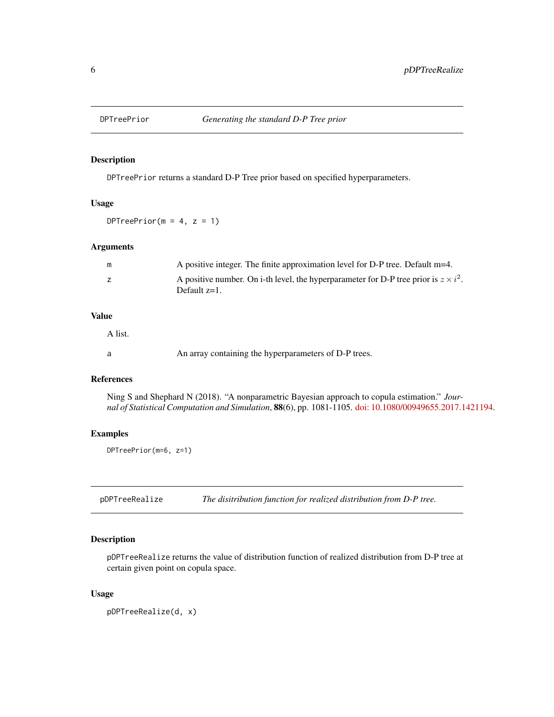<span id="page-5-0"></span>

# Description

DPTreePrior returns a standard D-P Tree prior based on specified hyperparameters.

# Usage

DPTreePrior( $m = 4$ ,  $z = 1$ )

# Arguments

| m | A positive integer. The finite approximation level for D-P tree. Default m=4.                                  |
|---|----------------------------------------------------------------------------------------------------------------|
|   | A positive number. On i-th level, the hyperparameter for D-P tree prior is $z \times i^2$ .<br>Default $z=1$ . |

# Value

A list.

a An array containing the hyperparameters of D-P trees.

# References

Ning S and Shephard N (2018). "A nonparametric Bayesian approach to copula estimation." *Journal of Statistical Computation and Simulation*, 88(6), pp. 1081-1105. [doi: 10.1080/00949655.2017.1421194.](http://doi.org/10.1080/00949655.2017.1421194)

# Examples

DPTreePrior(m=6, z=1)

pDPTreeRealize *The disitribution function for realized distribution from D-P tree.*

#### Description

pDPTreeRealize returns the value of distribution function of realized distribution from D-P tree at certain given point on copula space.

#### Usage

pDPTreeRealize(d, x)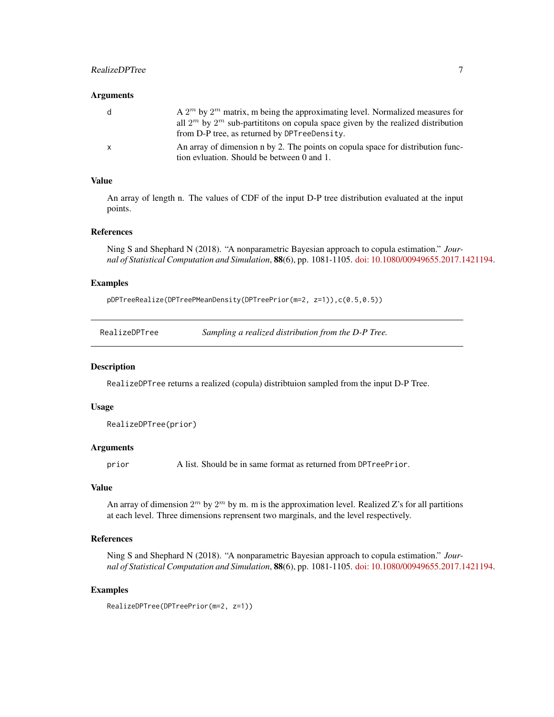# <span id="page-6-0"></span>RealizeDPTree 7

#### **Arguments**

| d            | A $2^m$ by $2^m$ matrix, m being the approximating level. Normalized measures for      |
|--------------|----------------------------------------------------------------------------------------|
|              | all $2^m$ by $2^m$ sub-partititions on copula space given by the realized distribution |
|              | from D-P tree, as returned by DPT reeDensity.                                          |
| $\mathbf{x}$ | An array of dimension n by 2. The points on copula space for distribution func-        |
|              | tion evivation. Should be between 0 and 1.                                             |

#### Value

An array of length n. The values of CDF of the input D-P tree distribution evaluated at the input points.

#### References

Ning S and Shephard N (2018). "A nonparametric Bayesian approach to copula estimation." *Journal of Statistical Computation and Simulation*, 88(6), pp. 1081-1105. [doi: 10.1080/00949655.2017.1421194.](http://doi.org/10.1080/00949655.2017.1421194)

# Examples

pDPTreeRealize(DPTreePMeanDensity(DPTreePrior(m=2, z=1)),c(0.5,0.5))

#### Description

RealizeDPTree returns a realized (copula) distribtuion sampled from the input D-P Tree.

#### Usage

```
RealizeDPTree(prior)
```
#### Arguments

prior A list. Should be in same format as returned from DPTreePrior.

# Value

An array of dimension  $2^m$  by  $2^m$  by m. m is the approximation level. Realized Z's for all partitions at each level. Three dimensions reprensent two marginals, and the level respectively.

# References

Ning S and Shephard N (2018). "A nonparametric Bayesian approach to copula estimation." *Journal of Statistical Computation and Simulation*, 88(6), pp. 1081-1105. [doi: 10.1080/00949655.2017.1421194.](http://doi.org/10.1080/00949655.2017.1421194)

#### Examples

RealizeDPTree(DPTreePrior(m=2, z=1))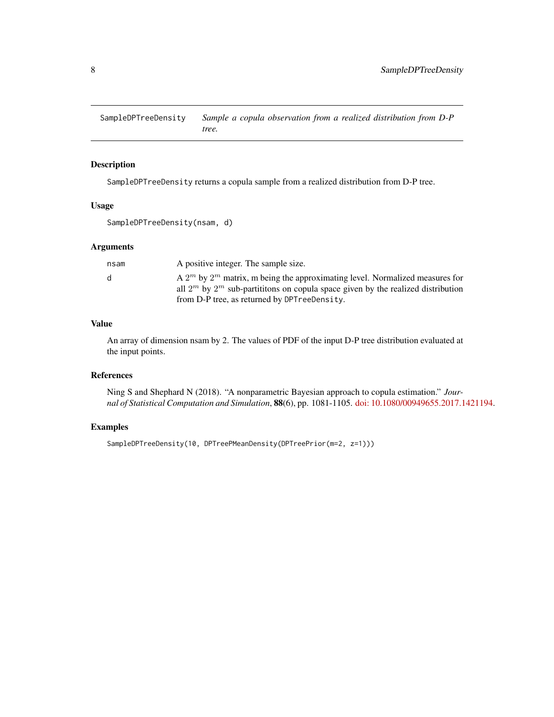<span id="page-7-0"></span>SampleDPTreeDensity *Sample a copula observation from a realized distribution from D-P tree.*

# Description

SampleDPTreeDensity returns a copula sample from a realized distribution from D-P tree.

#### Usage

SampleDPTreeDensity(nsam, d)

# Arguments

| A positive integer. The sample size.<br>nsam                                                                                                                                                                                      |  |
|-----------------------------------------------------------------------------------------------------------------------------------------------------------------------------------------------------------------------------------|--|
| A $2^m$ by $2^m$ matrix, m being the approximating level. Normalized measures for<br>d.<br>all $2^m$ by $2^m$ sub-partititions on copula space given by the realized distribution<br>from D-P tree, as returned by DPTreeDensity. |  |

# Value

An array of dimension nsam by 2. The values of PDF of the input D-P tree distribution evaluated at the input points.

#### References

Ning S and Shephard N (2018). "A nonparametric Bayesian approach to copula estimation." *Journal of Statistical Computation and Simulation*, 88(6), pp. 1081-1105. [doi: 10.1080/00949655.2017.1421194.](http://doi.org/10.1080/00949655.2017.1421194)

# Examples

SampleDPTreeDensity(10, DPTreePMeanDensity(DPTreePrior(m=2, z=1)))